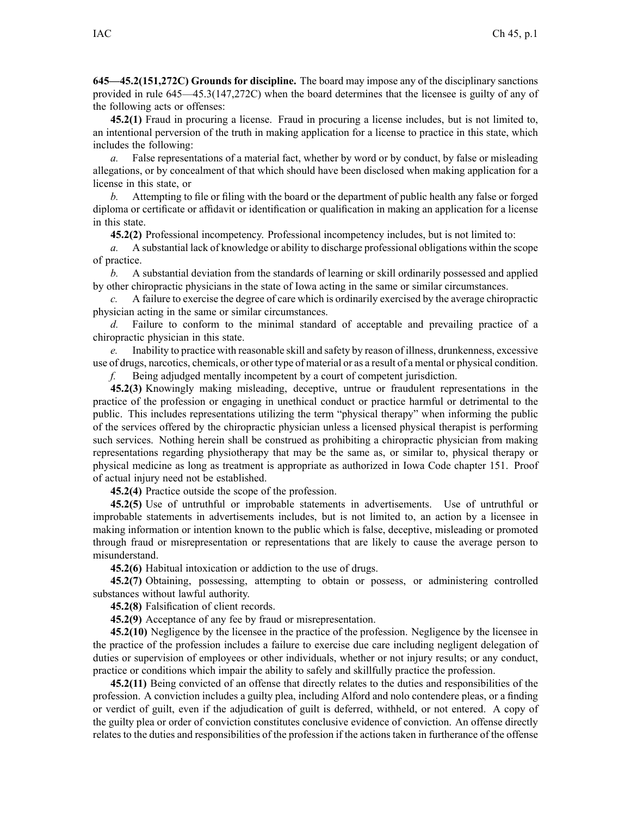**645—45.2(151,272C) Grounds for discipline.** The board may impose any of the disciplinary sanctions provided in rule [645—45.3](https://www.legis.iowa.gov/docs/iac/rule/645.45.3.pdf)(147,272C) when the board determines that the licensee is guilty of any of the following acts or offenses:

**45.2(1)** Fraud in procuring <sup>a</sup> license. Fraud in procuring <sup>a</sup> license includes, but is not limited to, an intentional perversion of the truth in making application for <sup>a</sup> license to practice in this state, which includes the following:

*a.* False representations of <sup>a</sup> material fact, whether by word or by conduct, by false or misleading allegations, or by concealment of that which should have been disclosed when making application for <sup>a</sup> license in this state, or

*b.* Attempting to file or filing with the board or the department of public health any false or forged diploma or certificate or affidavit or identification or qualification in making an application for <sup>a</sup> license in this state.

**45.2(2)** Professional incompetency. Professional incompetency includes, but is not limited to:

*a.* A substantial lack of knowledge or ability to discharge professional obligations within the scope of practice.

*b.* A substantial deviation from the standards of learning or skill ordinarily possessed and applied by other chiropractic physicians in the state of Iowa acting in the same or similar circumstances.

*c.* A failure to exercise the degree of care which is ordinarily exercised by the average chiropractic physician acting in the same or similar circumstances.

*d.* Failure to conform to the minimal standard of acceptable and prevailing practice of <sup>a</sup> chiropractic physician in this state.

*e.* Inability to practice with reasonable skill and safety by reason of illness, drunkenness, excessive use of drugs, narcotics, chemicals, or other type of material or as <sup>a</sup> result of <sup>a</sup> mental or physical condition.

*f.* Being adjudged mentally incompetent by <sup>a</sup> court of competent jurisdiction.

**45.2(3)** Knowingly making misleading, deceptive, untrue or fraudulent representations in the practice of the profession or engaging in unethical conduct or practice harmful or detrimental to the public. This includes representations utilizing the term "physical therapy" when informing the public of the services offered by the chiropractic physician unless <sup>a</sup> licensed physical therapist is performing such services. Nothing herein shall be construed as prohibiting <sup>a</sup> chiropractic physician from making representations regarding physiotherapy that may be the same as, or similar to, physical therapy or physical medicine as long as treatment is appropriate as authorized in Iowa Code chapter [151](https://www.legis.iowa.gov/docs/ico/chapter/151.pdf). Proof of actual injury need not be established.

**45.2(4)** Practice outside the scope of the profession.

**45.2(5)** Use of untruthful or improbable statements in advertisements. Use of untruthful or improbable statements in advertisements includes, but is not limited to, an action by <sup>a</sup> licensee in making information or intention known to the public which is false, deceptive, misleading or promoted through fraud or misrepresentation or representations that are likely to cause the average person to misunderstand.

**45.2(6)** Habitual intoxication or addiction to the use of drugs.

**45.2(7)** Obtaining, possessing, attempting to obtain or possess, or administering controlled substances without lawful authority.

**45.2(8)** Falsification of client records.

**45.2(9)** Acceptance of any fee by fraud or misrepresentation.

**45.2(10)** Negligence by the licensee in the practice of the profession. Negligence by the licensee in the practice of the profession includes <sup>a</sup> failure to exercise due care including negligent delegation of duties or supervision of employees or other individuals, whether or not injury results; or any conduct, practice or conditions which impair the ability to safely and skillfully practice the profession.

**45.2(11)** Being convicted of an offense that directly relates to the duties and responsibilities of the profession. A conviction includes <sup>a</sup> guilty plea, including Alford and nolo contendere pleas, or <sup>a</sup> finding or verdict of guilt, even if the adjudication of guilt is deferred, withheld, or not entered. A copy of the guilty plea or order of conviction constitutes conclusive evidence of conviction. An offense directly relates to the duties and responsibilities of the profession if the actions taken in furtherance of the offense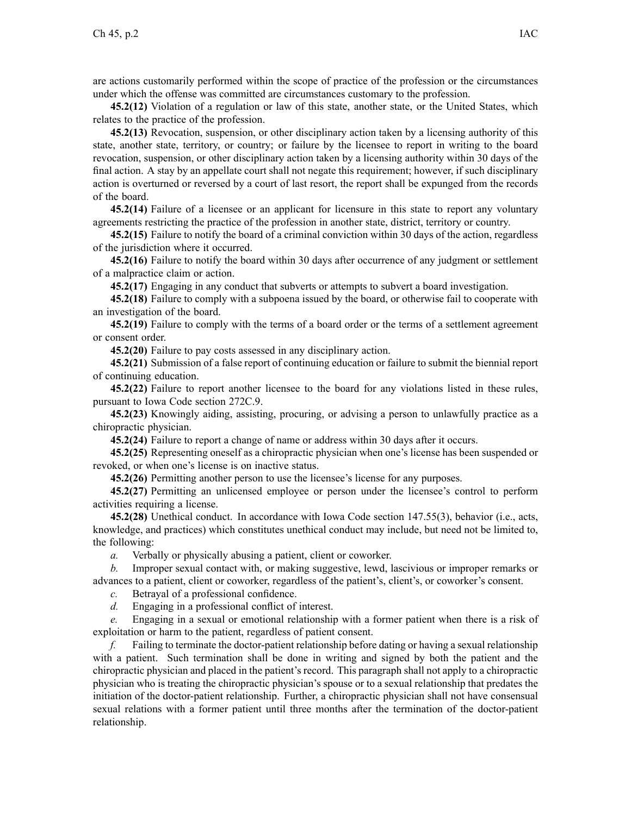are actions customarily performed within the scope of practice of the profession or the circumstances under which the offense was committed are circumstances customary to the profession.

**45.2(12)** Violation of <sup>a</sup> regulation or law of this state, another state, or the United States, which relates to the practice of the profession.

**45.2(13)** Revocation, suspension, or other disciplinary action taken by <sup>a</sup> licensing authority of this state, another state, territory, or country; or failure by the licensee to repor<sup>t</sup> in writing to the board revocation, suspension, or other disciplinary action taken by <sup>a</sup> licensing authority within 30 days of the final action. A stay by an appellate court shall not negate this requirement; however, if such disciplinary action is overturned or reversed by <sup>a</sup> court of last resort, the repor<sup>t</sup> shall be expunged from the records of the board.

**45.2(14)** Failure of <sup>a</sup> licensee or an applicant for licensure in this state to repor<sup>t</sup> any voluntary agreements restricting the practice of the profession in another state, district, territory or country.

**45.2(15)** Failure to notify the board of <sup>a</sup> criminal conviction within 30 days of the action, regardless of the jurisdiction where it occurred.

**45.2(16)** Failure to notify the board within 30 days after occurrence of any judgment or settlement of <sup>a</sup> malpractice claim or action.

**45.2(17)** Engaging in any conduct that subverts or attempts to subvert <sup>a</sup> board investigation.

**45.2(18)** Failure to comply with <sup>a</sup> subpoena issued by the board, or otherwise fail to cooperate with an investigation of the board.

**45.2(19)** Failure to comply with the terms of <sup>a</sup> board order or the terms of <sup>a</sup> settlement agreemen<sup>t</sup> or consent order.

**45.2(20)** Failure to pay costs assessed in any disciplinary action.

**45.2(21)** Submission of <sup>a</sup> false repor<sup>t</sup> of continuing education or failure to submit the biennial repor<sup>t</sup> of continuing education.

**45.2(22)** Failure to repor<sup>t</sup> another licensee to the board for any violations listed in these rules, pursuan<sup>t</sup> to Iowa Code section [272C.9](https://www.legis.iowa.gov/docs/ico/section/272C.9.pdf).

**45.2(23)** Knowingly aiding, assisting, procuring, or advising <sup>a</sup> person to unlawfully practice as <sup>a</sup> chiropractic physician.

**45.2(24)** Failure to repor<sup>t</sup> <sup>a</sup> change of name or address within 30 days after it occurs.

**45.2(25)** Representing oneself as <sup>a</sup> chiropractic physician when one's license has been suspended or revoked, or when one's license is on inactive status.

**45.2(26)** Permitting another person to use the licensee's license for any purposes.

**45.2(27)** Permitting an unlicensed employee or person under the licensee's control to perform activities requiring <sup>a</sup> license.

**45.2(28)** Unethical conduct. In accordance with Iowa Code section [147.55\(3\)](https://www.legis.iowa.gov/docs/ico/section/147.55.pdf), behavior (i.e., acts, knowledge, and practices) which constitutes unethical conduct may include, but need not be limited to, the following:

*a.* Verbally or physically abusing <sup>a</sup> patient, client or coworker.

*b.* Improper sexual contact with, or making suggestive, lewd, lascivious or improper remarks or advances to <sup>a</sup> patient, client or coworker, regardless of the patient's, client's, or coworker's consent.

*c.* Betrayal of <sup>a</sup> professional confidence.

*d.* Engaging in <sup>a</sup> professional conflict of interest.

*e.* Engaging in <sup>a</sup> sexual or emotional relationship with <sup>a</sup> former patient when there is <sup>a</sup> risk of exploitation or harm to the patient, regardless of patient consent.

*f.* Failing to terminate the doctor-patient relationship before dating or having <sup>a</sup> sexual relationship with <sup>a</sup> patient. Such termination shall be done in writing and signed by both the patient and the chiropractic physician and placed in the patient's record. This paragraph shall not apply to <sup>a</sup> chiropractic physician who is treating the chiropractic physician's spouse or to <sup>a</sup> sexual relationship that predates the initiation of the doctor-patient relationship. Further, <sup>a</sup> chiropractic physician shall not have consensual sexual relations with <sup>a</sup> former patient until three months after the termination of the doctor-patient relationship.